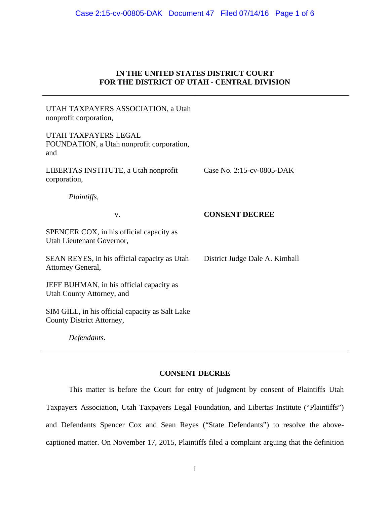## **IN THE UNITED STATES DISTRICT COURT FOR THE DISTRICT OF UTAH - CENTRAL DIVISION**

| UTAH TAXPAYERS ASSOCIATION, a Utah<br>nonprofit corporation,                 |                                |
|------------------------------------------------------------------------------|--------------------------------|
| UTAH TAXPAYERS LEGAL<br>FOUNDATION, a Utah nonprofit corporation,<br>and     |                                |
| LIBERTAS INSTITUTE, a Utah nonprofit<br>corporation,                         | Case No. 2:15-cv-0805-DAK      |
| Plaintiffs,                                                                  |                                |
| V.                                                                           | <b>CONSENT DECREE</b>          |
| SPENCER COX, in his official capacity as<br>Utah Lieutenant Governor,        |                                |
| SEAN REYES, in his official capacity as Utah<br>Attorney General,            | District Judge Dale A. Kimball |
| JEFF BUHMAN, in his official capacity as<br>Utah County Attorney, and        |                                |
| SIM GILL, in his official capacity as Salt Lake<br>County District Attorney, |                                |
| Defendants.                                                                  |                                |

# **CONSENT DECREE**

This matter is before the Court for entry of judgment by consent of Plaintiffs Utah Taxpayers Association, Utah Taxpayers Legal Foundation, and Libertas Institute ("Plaintiffs") and Defendants Spencer Cox and Sean Reyes ("State Defendants") to resolve the abovecaptioned matter. On November 17, 2015, Plaintiffs filed a complaint arguing that the definition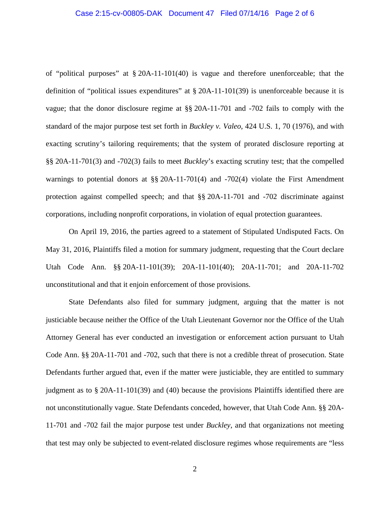#### Case 2:15-cv-00805-DAK Document 47 Filed 07/14/16 Page 2 of 6

of "political purposes" at § 20A-11-101(40) is vague and therefore unenforceable; that the definition of "political issues expenditures" at § 20A-11-101(39) is unenforceable because it is vague; that the donor disclosure regime at §§ 20A-11-701 and -702 fails to comply with the standard of the major purpose test set forth in *Buckley v. Valeo*, 424 U.S. 1, 70 (1976), and with exacting scrutiny's tailoring requirements; that the system of prorated disclosure reporting at §§ 20A-11-701(3) and -702(3) fails to meet *Buckley*'s exacting scrutiny test; that the compelled warnings to potential donors at §§ 20A-11-701(4) and -702(4) violate the First Amendment protection against compelled speech; and that §§ 20A-11-701 and -702 discriminate against corporations, including nonprofit corporations, in violation of equal protection guarantees.

On April 19, 2016, the parties agreed to a statement of Stipulated Undisputed Facts. On May 31, 2016, Plaintiffs filed a motion for summary judgment, requesting that the Court declare Utah Code Ann. §§ 20A-11-101(39); 20A-11-101(40); 20A-11-701; and 20A-11-702 unconstitutional and that it enjoin enforcement of those provisions.

State Defendants also filed for summary judgment, arguing that the matter is not justiciable because neither the Office of the Utah Lieutenant Governor nor the Office of the Utah Attorney General has ever conducted an investigation or enforcement action pursuant to Utah Code Ann. §§ 20A-11-701 and -702, such that there is not a credible threat of prosecution. State Defendants further argued that, even if the matter were justiciable, they are entitled to summary judgment as to § 20A-11-101(39) and (40) because the provisions Plaintiffs identified there are not unconstitutionally vague. State Defendants conceded, however, that Utah Code Ann. §§ 20A-11-701 and -702 fail the major purpose test under *Buckley*, and that organizations not meeting that test may only be subjected to event-related disclosure regimes whose requirements are "less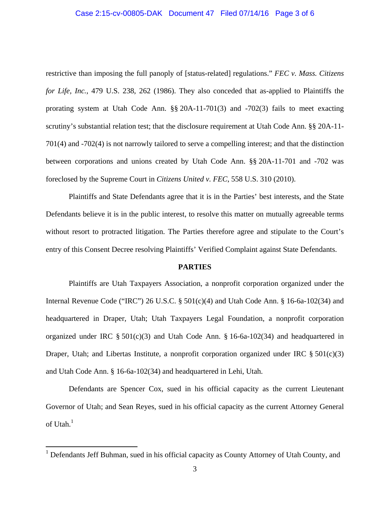## Case 2:15-cv-00805-DAK Document 47 Filed 07/14/16 Page 3 of 6

restrictive than imposing the full panoply of [status-related] regulations." *FEC v. Mass. Citizens for Life, Inc.*, 479 U.S. 238, 262 (1986). They also conceded that as-applied to Plaintiffs the prorating system at Utah Code Ann. §§ 20A-11-701(3) and -702(3) fails to meet exacting scrutiny's substantial relation test; that the disclosure requirement at Utah Code Ann. §§ 20A-11- 701(4) and -702(4) is not narrowly tailored to serve a compelling interest; and that the distinction between corporations and unions created by Utah Code Ann. §§ 20A-11-701 and -702 was foreclosed by the Supreme Court in *Citizens United v. FEC*, 558 U.S. 310 (2010).

Plaintiffs and State Defendants agree that it is in the Parties' best interests, and the State Defendants believe it is in the public interest, to resolve this matter on mutually agreeable terms without resort to protracted litigation. The Parties therefore agree and stipulate to the Court's entry of this Consent Decree resolving Plaintiffs' Verified Complaint against State Defendants.

## **PARTIES**

Plaintiffs are Utah Taxpayers Association, a nonprofit corporation organized under the Internal Revenue Code ("IRC") 26 U.S.C. § 501(c)(4) and Utah Code Ann. § 16-6a-102(34) and headquartered in Draper, Utah; Utah Taxpayers Legal Foundation, a nonprofit corporation organized under IRC  $\S 501(c)(3)$  and Utah Code Ann.  $\S 16-6a-102(34)$  and headquartered in Draper, Utah; and Libertas Institute, a nonprofit corporation organized under IRC  $\S 501(c)(3)$ and Utah Code Ann. § 16-6a-102(34) and headquartered in Lehi, Utah.

Defendants are Spencer Cox, sued in his official capacity as the current Lieutenant Governor of Utah; and Sean Reyes, sued in his official capacity as the current Attorney General of Utah. $1$ 

 $\overline{a}$ 

<sup>&</sup>lt;sup>1</sup> Defendants Jeff Buhman, sued in his official capacity as County Attorney of Utah County, and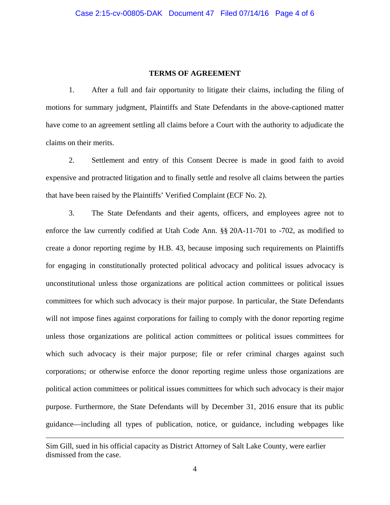### **TERMS OF AGREEMENT**

1. After a full and fair opportunity to litigate their claims, including the filing of motions for summary judgment, Plaintiffs and State Defendants in the above-captioned matter have come to an agreement settling all claims before a Court with the authority to adjudicate the claims on their merits.

2. Settlement and entry of this Consent Decree is made in good faith to avoid expensive and protracted litigation and to finally settle and resolve all claims between the parties that have been raised by the Plaintiffs' Verified Complaint (ECF No. 2).

3. The State Defendants and their agents, officers, and employees agree not to enforce the law currently codified at Utah Code Ann. §§ 20A-11-701 to -702, as modified to create a donor reporting regime by H.B. 43, because imposing such requirements on Plaintiffs for engaging in constitutionally protected political advocacy and political issues advocacy is unconstitutional unless those organizations are political action committees or political issues committees for which such advocacy is their major purpose. In particular, the State Defendants will not impose fines against corporations for failing to comply with the donor reporting regime unless those organizations are political action committees or political issues committees for which such advocacy is their major purpose; file or refer criminal charges against such corporations; or otherwise enforce the donor reporting regime unless those organizations are political action committees or political issues committees for which such advocacy is their major purpose. Furthermore, the State Defendants will by December 31, 2016 ensure that its public guidance—including all types of publication, notice, or guidance, including webpages like

 $\overline{a}$ 

Sim Gill, sued in his official capacity as District Attorney of Salt Lake County, were earlier dismissed from the case.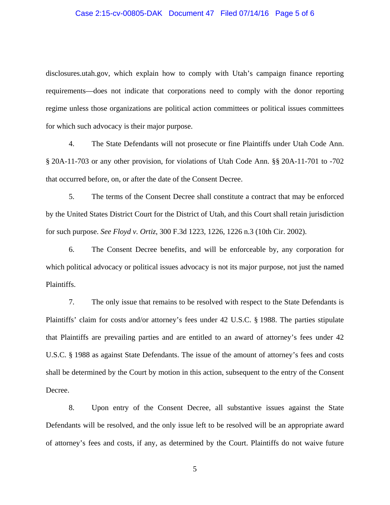#### Case 2:15-cv-00805-DAK Document 47 Filed 07/14/16 Page 5 of 6

disclosures.utah.gov, which explain how to comply with Utah's campaign finance reporting requirements—does not indicate that corporations need to comply with the donor reporting regime unless those organizations are political action committees or political issues committees for which such advocacy is their major purpose.

4. The State Defendants will not prosecute or fine Plaintiffs under Utah Code Ann. § 20A-11-703 or any other provision, for violations of Utah Code Ann. §§ 20A-11-701 to -702 that occurred before, on, or after the date of the Consent Decree.

5. The terms of the Consent Decree shall constitute a contract that may be enforced by the United States District Court for the District of Utah, and this Court shall retain jurisdiction for such purpose. *See Floyd v. Ortiz*, 300 F.3d 1223, 1226, 1226 n.3 (10th Cir. 2002).

6. The Consent Decree benefits, and will be enforceable by, any corporation for which political advocacy or political issues advocacy is not its major purpose, not just the named Plaintiffs.

7. The only issue that remains to be resolved with respect to the State Defendants is Plaintiffs' claim for costs and/or attorney's fees under 42 U.S.C. § 1988. The parties stipulate that Plaintiffs are prevailing parties and are entitled to an award of attorney's fees under 42 U.S.C. § 1988 as against State Defendants. The issue of the amount of attorney's fees and costs shall be determined by the Court by motion in this action, subsequent to the entry of the Consent Decree.

8. Upon entry of the Consent Decree, all substantive issues against the State Defendants will be resolved, and the only issue left to be resolved will be an appropriate award of attorney's fees and costs, if any, as determined by the Court. Plaintiffs do not waive future

5